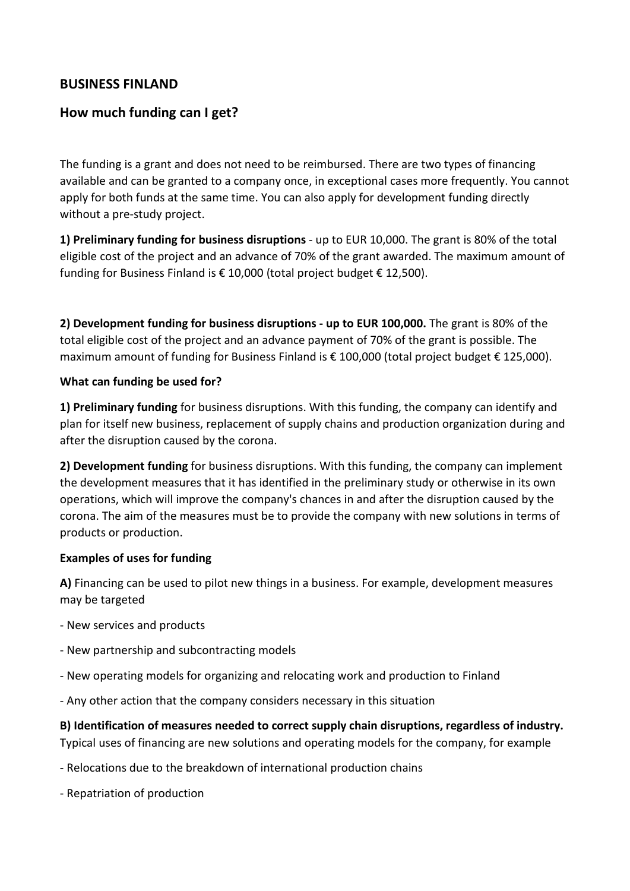## **BUSINESS FINLAND**

## **How much funding can I get?**

The funding is a grant and does not need to be reimbursed. There are two types of financing available and can be granted to a company once, in exceptional cases more frequently. You cannot apply for both funds at the same time. You can also apply for development funding directly without a pre-study project.

**1) Preliminary funding for business disruptions** - up to EUR 10,000. The grant is 80% of the total eligible cost of the project and an advance of 70% of the grant awarded. The maximum amount of funding for Business Finland is € 10,000 (total project budget € 12,500).

**2) Development funding for business disruptions - up to EUR 100,000.** The grant is 80% of the total eligible cost of the project and an advance payment of 70% of the grant is possible. The maximum amount of funding for Business Finland is € 100,000 (total project budget € 125,000).

#### **What can funding be used for?**

**1) Preliminary funding** for business disruptions. With this funding, the company can identify and plan for itself new business, replacement of supply chains and production organization during and after the disruption caused by the corona.

**2) Development funding** for business disruptions. With this funding, the company can implement the development measures that it has identified in the preliminary study or otherwise in its own operations, which will improve the company's chances in and after the disruption caused by the corona. The aim of the measures must be to provide the company with new solutions in terms of products or production.

#### **Examples of uses for funding**

**A)** Financing can be used to pilot new things in a business. For example, development measures may be targeted

- New services and products
- New partnership and subcontracting models
- New operating models for organizing and relocating work and production to Finland
- Any other action that the company considers necessary in this situation

**B) Identification of measures needed to correct supply chain disruptions, regardless of industry.** Typical uses of financing are new solutions and operating models for the company, for example

- Relocations due to the breakdown of international production chains
- Repatriation of production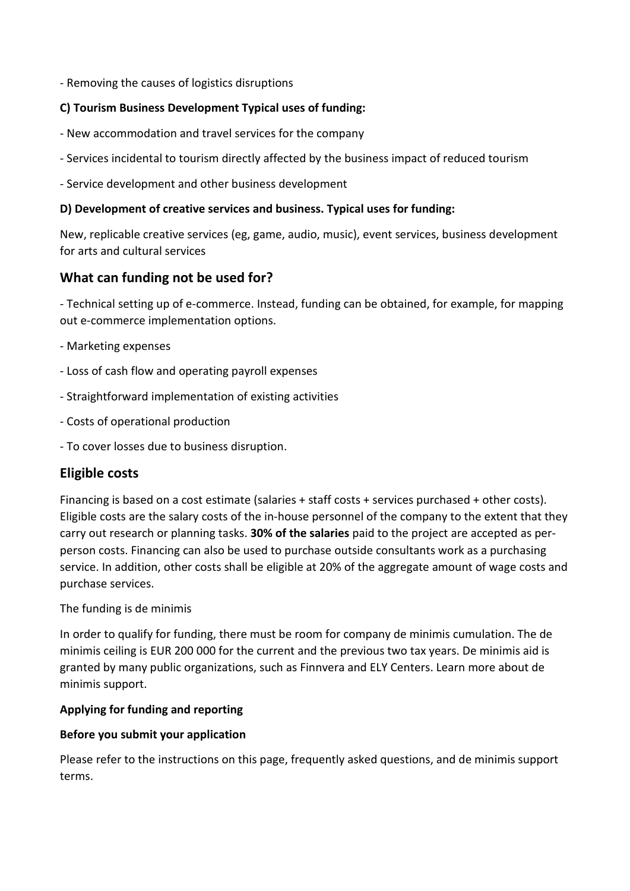- Removing the causes of logistics disruptions

### **C) Tourism Business Development Typical uses of funding:**

- New accommodation and travel services for the company
- Services incidental to tourism directly affected by the business impact of reduced tourism
- Service development and other business development

### **D) Development of creative services and business. Typical uses for funding:**

New, replicable creative services (eg, game, audio, music), event services, business development for arts and cultural services

# **What can funding not be used for?**

- Technical setting up of e-commerce. Instead, funding can be obtained, for example, for mapping out e-commerce implementation options.

- Marketing expenses
- Loss of cash flow and operating payroll expenses
- Straightforward implementation of existing activities
- Costs of operational production
- To cover losses due to business disruption.

# **Eligible costs**

Financing is based on a cost estimate (salaries + staff costs + services purchased + other costs). Eligible costs are the salary costs of the in-house personnel of the company to the extent that they carry out research or planning tasks. **30% of the salaries** paid to the project are accepted as perperson costs. Financing can also be used to purchase outside consultants work as a purchasing service. In addition, other costs shall be eligible at 20% of the aggregate amount of wage costs and purchase services.

#### The funding is de minimis

In order to qualify for funding, there must be room for company de minimis cumulation. The de minimis ceiling is EUR 200 000 for the current and the previous two tax years. De minimis aid is granted by many public organizations, such as Finnvera and ELY Centers. Learn more about de minimis support.

#### **Applying for funding and reporting**

## **Before you submit your application**

Please refer to the instructions on this page, frequently asked questions, and de minimis support terms.